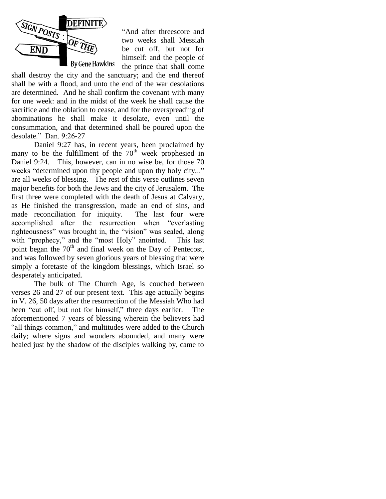

"And after threescore and two weeks shall Messiah be cut off, but not for himself: and the people of the prince that shall come

shall destroy the city and the sanctuary; and the end thereof shall be with a flood, and unto the end of the war desolations are determined. And he shall confirm the covenant with many for one week: and in the midst of the week he shall cause the sacrifice and the oblation to cease, and for the overspreading of abominations he shall make it desolate, even until the consummation, and that determined shall be poured upon the desolate." Dan. 9:26-27

Daniel 9:27 has, in recent years, been proclaimed by many to be the fulfillment of the  $70<sup>th</sup>$  week prophesied in Daniel 9:24. This, however, can in no wise be, for those 70 weeks "determined upon thy people and upon thy holy city,.." are all weeks of blessing. The rest of this verse outlines seven major benefits for both the Jews and the city of Jerusalem. The first three were completed with the death of Jesus at Calvary, as He finished the transgression, made an end of sins, and made reconciliation for iniquity. The last four were accomplished after the resurrection when "everlasting righteousness" was brought in, the "vision" was sealed, along with "prophecy," and the "most Holy" anointed. This last point began the  $70<sup>th</sup>$  and final week on the Day of Pentecost, and was followed by seven glorious years of blessing that were simply a foretaste of the kingdom blessings, which Israel so desperately anticipated.

The bulk of The Church Age, is couched between verses 26 and 27 of our present text. This age actually begins in V. 26, 50 days after the resurrection of the Messiah Who had been "cut off, but not for himself," three days earlier. The aforementioned 7 years of blessing wherein the believers had "all things common," and multitudes were added to the Church daily; where signs and wonders abounded, and many were healed just by the shadow of the disciples walking by, came to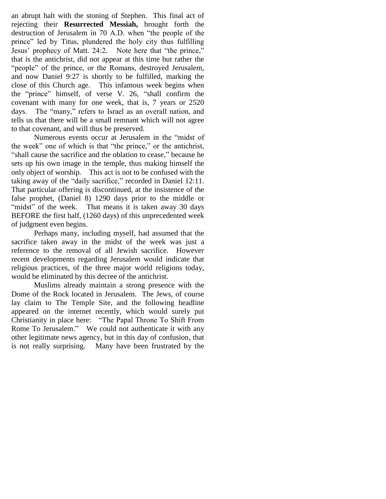an abrupt halt with the stoning of Stephen. This final act of rejecting their **Resurrected Messiah,** brought forth the destruction of Jerusalem in 70 A.D. when "the people of the prince" led by Titus, plundered the holy city thus fulfilling Jesus" prophecy of Matt. 24:2. Note here that "the prince," that is the antichrist, did not appear at this time but rather the "people" of the prince, or the Romans, destroyed Jerusalem, and now Daniel 9:27 is shortly to be fulfilled, marking the close of this Church age. This infamous week begins when the "prince" himself, of verse V. 26, "shall confirm the covenant with many for one week, that is, 7 years or 2520 days. The "many," refers to Israel as an overall nation, and tells us that there will be a small remnant which will not agree to that covenant, and will thus be preserved.

Numerous events occur at Jerusalem in the "midst of the week" one of which is that "the prince," or the antichrist, "shall cause the sacrifice and the oblation to cease," because he sets up his own image in the temple, thus making himself the only object of worship. This act is not to be confused with the taking away of the "daily sacrifice," recorded in Daniel 12:11. That particular offering is discontinued, at the insistence of the false prophet, (Daniel 8) 1290 days prior to the middle or "midst" of the week. That means it is taken away 30 days BEFORE the first half, (1260 days) of this unprecedented week of judgment even begins.

Perhaps many, including myself, had assumed that the sacrifice taken away in the midst of the week was just a reference to the removal of all Jewish sacrifice. However recent developments regarding Jerusalem would indicate that religious practices, of the three major world religions today, would be eliminated by this decree of the antichrist.

Muslims already maintain a strong presence with the Dome of the Rock located in Jerusalem. The Jews, of course lay claim to The Temple Site, and the following headline appeared on the internet recently, which would surely put Christianity in place here: "The Papal Throne To Shift From Rome To Jerusalem." We could not authenticate it with any other legitimate news agency, but in this day of confusion, that is not really surprising. Many have been frustrated by the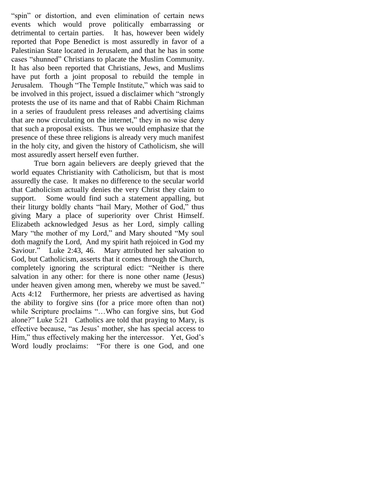"spin" or distortion, and even elimination of certain news events which would prove politically embarrassing or detrimental to certain parties. It has, however been widely reported that Pope Benedict is most assuredly in favor of a Palestinian State located in Jerusalem, and that he has in some cases "shunned" Christians to placate the Muslim Community. It has also been reported that Christians, Jews, and Muslims have put forth a joint proposal to rebuild the temple in Jerusalem. Though "The Temple Institute," which was said to be involved in this project, issued a disclaimer which "strongly protests the use of its name and that of Rabbi Chaim Richman in a series of fraudulent press releases and advertising claims that are now circulating on the internet," they in no wise deny that such a proposal exists. Thus we would emphasize that the presence of these three religions is already very much manifest in the holy city, and given the history of Catholicism, she will most assuredly assert herself even further.

True born again believers are deeply grieved that the world equates Christianity with Catholicism, but that is most assuredly the case. It makes no difference to the secular world that Catholicism actually denies the very Christ they claim to support. Some would find such a statement appalling, but their liturgy boldly chants "hail Mary, Mother of God," thus giving Mary a place of superiority over Christ Himself. Elizabeth acknowledged Jesus as her Lord, simply calling Mary "the mother of my Lord," and Mary shouted "My soul doth magnify the Lord, And my spirit hath rejoiced in God my Saviour." Luke 2:43, 46. Mary attributed her salvation to God, but Catholicism, asserts that it comes through the Church, completely ignoring the scriptural edict: "Neither is there salvation in any other: for there is none other name (Jesus) under heaven given among men, whereby we must be saved." Acts 4:12 Furthermore, her priests are advertised as having the ability to forgive sins (for a price more often than not) while Scripture proclaims "…Who can forgive sins, but God alone?" Luke 5:21 Catholics are told that praying to Mary, is effective because, "as Jesus" mother, she has special access to Him," thus effectively making her the intercessor. Yet, God's Word loudly proclaims: "For there is one God, and one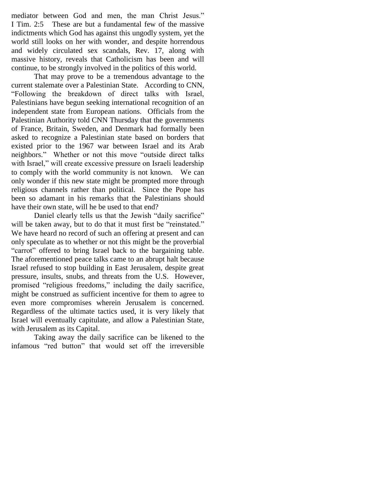mediator between God and men, the man Christ Jesus." I Tim. 2:5 These are but a fundamental few of the massive indictments which God has against this ungodly system, yet the world still looks on her with wonder, and despite horrendous and widely circulated sex scandals, Rev. 17, along with massive history, reveals that Catholicism has been and will continue, to be strongly involved in the politics of this world.

That may prove to be a tremendous advantage to the current stalemate over a Palestinian State. According to CNN, "Following the breakdown of direct talks with Israel, Palestinians have begun seeking international recognition of an independent state from European nations. Officials from the Palestinian Authority told CNN Thursday that the governments of France, Britain, Sweden, and Denmark had formally been asked to recognize a Palestinian state based on borders that existed prior to the 1967 war between Israel and its Arab neighbors." Whether or not this move "outside direct talks with Israel," will create excessive pressure on Israeli leadership to comply with the world community is not known. We can only wonder if this new state might be prompted more through religious channels rather than political. Since the Pope has been so adamant in his remarks that the Palestinians should have their own state, will he be used to that end?

Daniel clearly tells us that the Jewish "daily sacrifice" will be taken away, but to do that it must first be "reinstated." We have heard no record of such an offering at present and can only speculate as to whether or not this might be the proverbial "carrot" offered to bring Israel back to the bargaining table. The aforementioned peace talks came to an abrupt halt because Israel refused to stop building in East Jerusalem, despite great pressure, insults, snubs, and threats from the U.S. However, promised "religious freedoms," including the daily sacrifice, might be construed as sufficient incentive for them to agree to even more compromises wherein Jerusalem is concerned. Regardless of the ultimate tactics used, it is very likely that Israel will eventually capitulate, and allow a Palestinian State, with Jerusalem as its Capital.

Taking away the daily sacrifice can be likened to the infamous "red button" that would set off the irreversible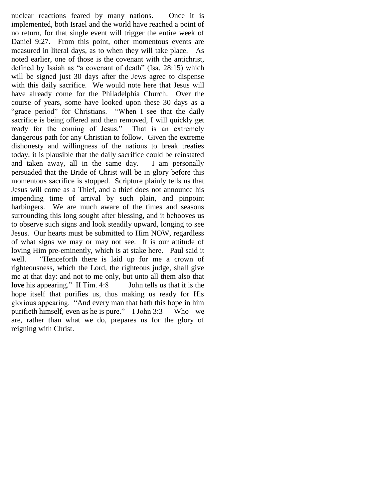nuclear reactions feared by many nations. Once it is implemented, both Israel and the world have reached a point of no return, for that single event will trigger the entire week of Daniel 9:27. From this point, other momentous events are measured in literal days, as to when they will take place. As noted earlier, one of those is the covenant with the antichrist, defined by Isaiah as "a covenant of death" (Isa. 28:15) which will be signed just 30 days after the Jews agree to dispense with this daily sacrifice. We would note here that Jesus will have already come for the Philadelphia Church. Over the course of years, some have looked upon these 30 days as a "grace period" for Christians. "When I see that the daily sacrifice is being offered and then removed, I will quickly get ready for the coming of Jesus." That is an extremely dangerous path for any Christian to follow. Given the extreme dishonesty and willingness of the nations to break treaties today, it is plausible that the daily sacrifice could be reinstated and taken away, all in the same day. I am personally persuaded that the Bride of Christ will be in glory before this momentous sacrifice is stopped. Scripture plainly tells us that Jesus will come as a Thief, and a thief does not announce his impending time of arrival by such plain, and pinpoint harbingers. We are much aware of the times and seasons surrounding this long sought after blessing, and it behooves us to observe such signs and look steadily upward, longing to see Jesus. Our hearts must be submitted to Him NOW, regardless of what signs we may or may not see. It is our attitude of loving Him pre-eminently, which is at stake here. Paul said it well. "Henceforth there is laid up for me a crown of righteousness, which the Lord, the righteous judge, shall give me at that day: and not to me only, but unto all them also that **love** his appearing." II Tim. 4:8 John tells us that it is the hope itself that purifies us, thus making us ready for His glorious appearing. "And every man that hath this hope in him purifieth himself, even as he is pure." I John 3:3 Who we are, rather than what we do, prepares us for the glory of reigning with Christ.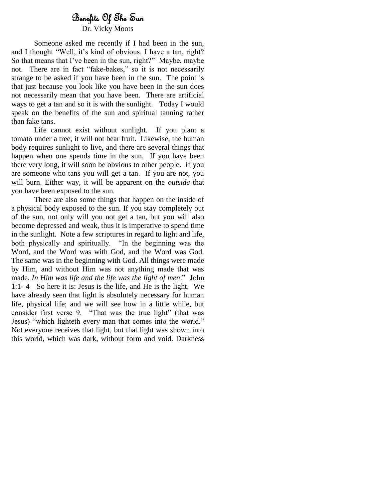# Benefits Of The Sun

#### Dr. Vicky Moots

Someone asked me recently if I had been in the sun, and I thought "Well, it's kind of obvious. I have a tan, right? So that means that I've been in the sun, right?" Maybe, maybe not. There are in fact "fake-bakes," so it is not necessarily strange to be asked if you have been in the sun. The point is that just because you look like you have been in the sun does not necessarily mean that you have been. There are artificial ways to get a tan and so it is with the sunlight. Today I would speak on the benefits of the sun and spiritual tanning rather than fake tans.

Life cannot exist without sunlight. If you plant a tomato under a tree, it will not bear fruit. Likewise, the human body requires sunlight to live, and there are several things that happen when one spends time in the sun. If you have been there very long, it will soon be obvious to other people. If you are someone who tans you will get a tan. If you are not, you will burn. Either way, it will be apparent on the *outside* that you have been exposed to the sun.

There are also some things that happen on the inside of a physical body exposed to the sun. If you stay completely out of the sun, not only will you not get a tan, but you will also become depressed and weak, thus it is imperative to spend time in the sunlight. Note a few scriptures in regard to light and life, both physically and spiritually. "In the beginning was the Word, and the Word was with God, and the Word was God. The same was in the beginning with God. All things were made by Him, and without Him was not anything made that was made. *In Him was life and the life was the light of men*." John 1:1- 4 So here it is: Jesus is the life, and He is the light. We have already seen that light is absolutely necessary for human life, physical life; and we will see how in a little while, but consider first verse 9. "That was the true light" (that was Jesus) "which lighteth every man that comes into the world." Not everyone receives that light, but that light was shown into this world, which was dark, without form and void. Darkness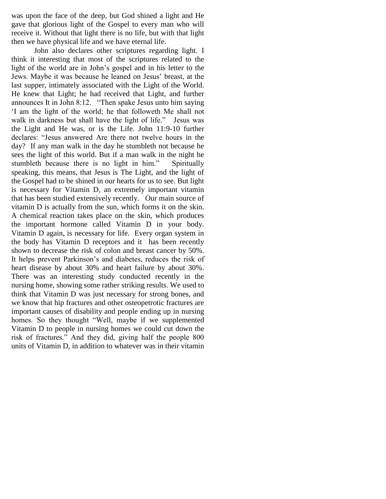was upon the face of the deep, but God shined a light and He gave that glorious light of the Gospel to every man who will receive it. Without that light there is no life, but with that light then we have physical life and we have eternal life.

John also declares other scriptures regarding light. I think it interesting that most of the scriptures related to the light of the world are in John"s gospel and in his letter to the Jews. Maybe it was because he leaned on Jesus" breast, at the last supper, intimately associated with the Light of the World. He knew that Light; he had received that Light, and further announces It in John 8:12. "Then spake Jesus unto him saying "I am the light of the world; he that followeth Me shall not walk in darkness but shall have the light of life." Jesus was the Light and He was, or is the Life. John 11:9-10 further declares: "Jesus answered Are there not twelve hours in the day? If any man walk in the day he stumbleth not because he sees the light of this world. But if a man walk in the night he stumbleth because there is no light in him." Spiritually speaking, this means, that Jesus is The Light, and the light of the Gospel had to be shined in our hearts for us to see. But light is necessary for Vitamin D, an extremely important vitamin that has been studied extensively recently. Our main source of vitamin D is actually from the sun, which forms it on the skin. A chemical reaction takes place on the skin, which produces the important hormone called Vitamin D in your body. Vitamin D again, is necessary for life. Every organ system in the body has Vitamin D receptors and it has been recently shown to decrease the risk of colon and breast cancer by 50%. It helps prevent Parkinson"s and diabetes, reduces the risk of heart disease by about 30% and heart failure by about 30%. There was an interesting study conducted recently in the nursing home, showing some rather striking results. We used to think that Vitamin D was just necessary for strong bones, and we know that hip fractures and other osteopetrotic fractures are important causes of disability and people ending up in nursing homes. So they thought "Well, maybe if we supplemented Vitamin D to people in nursing homes we could cut down the risk of fractures." And they did, giving half the people 800 units of Vitamin D, in addition to whatever was in their vitamin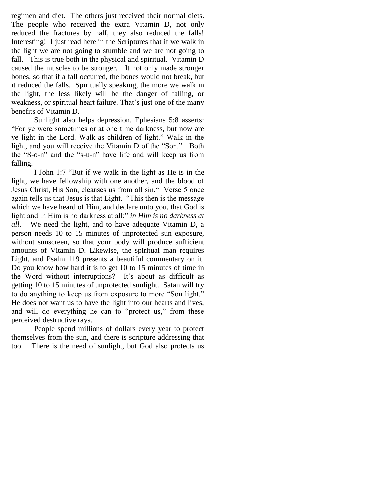regimen and diet. The others just received their normal diets. The people who received the extra Vitamin D, not only reduced the fractures by half, they also reduced the falls! Interesting! I just read here in the Scriptures that if we walk in the light we are not going to stumble and we are not going to fall. This is true both in the physical and spiritual. Vitamin D caused the muscles to be stronger. It not only made stronger bones, so that if a fall occurred, the bones would not break, but it reduced the falls. Spiritually speaking, the more we walk in the light, the less likely will be the danger of falling, or weakness, or spiritual heart failure. That's just one of the many benefits of Vitamin D.

Sunlight also helps depression. Ephesians 5:8 asserts: "For ye were sometimes or at one time darkness, but now are ye light in the Lord. Walk as children of light." Walk in the light, and you will receive the Vitamin D of the "Son." Both the "S-o-n" and the "s-u-n" have life and will keep us from falling.

I John 1:7 "But if we walk in the light as He is in the light, we have fellowship with one another, and the blood of Jesus Christ, His Son, cleanses us from all sin." Verse 5 once again tells us that Jesus is that Light. "This then is the message which we have heard of Him, and declare unto you, that God is light and in Him is no darkness at all;" *in Him is no darkness at all*. We need the light, and to have adequate Vitamin D, a person needs 10 to 15 minutes of unprotected sun exposure, without sunscreen, so that your body will produce sufficient amounts of Vitamin D. Likewise, the spiritual man requires Light, and Psalm 119 presents a beautiful commentary on it. Do you know how hard it is to get 10 to 15 minutes of time in the Word without interruptions? It's about as difficult as getting 10 to 15 minutes of unprotected sunlight. Satan will try to do anything to keep us from exposure to more "Son light." He does not want us to have the light into our hearts and lives, and will do everything he can to "protect us," from these perceived destructive rays.

People spend millions of dollars every year to protect themselves from the sun, and there is scripture addressing that too. There is the need of sunlight, but God also protects us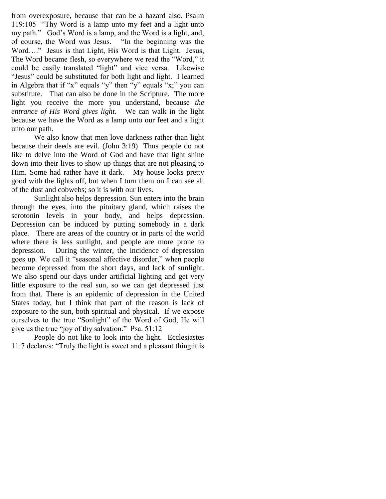from overexposure, because that can be a hazard also. Psalm 119:105 "Thy Word is a lamp unto my feet and a light unto my path." God's Word is a lamp, and the Word is a light, and, of course, the Word was Jesus. "In the beginning was the Word…." Jesus is that Light, His Word is that Light. Jesus, The Word became flesh, so everywhere we read the "Word," it could be easily translated "light" and vice versa. Likewise "Jesus" could be substituted for both light and light. I learned in Algebra that if "x" equals "y" then "y" equals "x;" you can substitute. That can also be done in the Scripture. The more light you receive the more you understand, because *the entrance of His Word gives light*. We can walk in the light because we have the Word as a lamp unto our feet and a light unto our path.

We also know that men love darkness rather than light because their deeds are evil. (John 3:19) Thus people do not like to delve into the Word of God and have that light shine down into their lives to show up things that are not pleasing to Him. Some had rather have it dark. My house looks pretty good with the lights off, but when I turn them on I can see all of the dust and cobwebs; so it is with our lives.

Sunlight also helps depression. Sun enters into the brain through the eyes, into the pituitary gland, which raises the serotonin levels in your body, and helps depression. Depression can be induced by putting somebody in a dark place. There are areas of the country or in parts of the world where there is less sunlight, and people are more prone to depression. During the winter, the incidence of depression goes up. We call it "seasonal affective disorder," when people become depressed from the short days, and lack of sunlight. We also spend our days under artificial lighting and get very little exposure to the real sun, so we can get depressed just from that. There is an epidemic of depression in the United States today, but I think that part of the reason is lack of exposure to the sun, both spiritual and physical. If we expose ourselves to the true "Sonlight" of the Word of God, He will give us the true "joy of thy salvation." Psa. 51:12

People do not like to look into the light. Ecclesiastes 11:7 declares: "Truly the light is sweet and a pleasant thing it is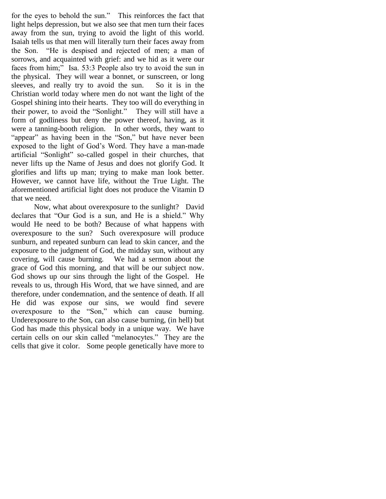for the eyes to behold the sun." This reinforces the fact that light helps depression, but we also see that men turn their faces away from the sun, trying to avoid the light of this world. Isaiah tells us that men will literally turn their faces away from the Son. "He is despised and rejected of men; a man of sorrows, and acquainted with grief: and we hid as it were our faces from him;" Isa. 53:3 People also try to avoid the sun in the physical. They will wear a bonnet, or sunscreen, or long sleeves, and really try to avoid the sun. So it is in the Christian world today where men do not want the light of the Gospel shining into their hearts. They too will do everything in their power, to avoid the "Sonlight." They will still have a form of godliness but deny the power thereof, having, as it were a tanning-booth religion. In other words, they want to "appear" as having been in the "Son," but have never been exposed to the light of God"s Word. They have a man-made artificial "Sonlight" so-called gospel in their churches, that never lifts up the Name of Jesus and does not glorify God. It glorifies and lifts up man; trying to make man look better. However, we cannot have life, without the True Light. The aforementioned artificial light does not produce the Vitamin D that we need.

Now, what about overexposure to the sunlight? David declares that "Our God is a sun, and He is a shield." Why would He need to be both? Because of what happens with overexposure to the sun? Such overexposure will produce sunburn, and repeated sunburn can lead to skin cancer, and the exposure to the judgment of God, the midday sun, without any covering, will cause burning. We had a sermon about the grace of God this morning, and that will be our subject now. God shows up our sins through the light of the Gospel. He reveals to us, through His Word, that we have sinned, and are therefore, under condemnation, and the sentence of death. If all He did was expose our sins, we would find severe overexposure to the "Son," which can cause burning. Underexposure to *the* Son, can also cause burning, (in hell) but God has made this physical body in a unique way. We have certain cells on our skin called "melanocytes." They are the cells that give it color. Some people genetically have more to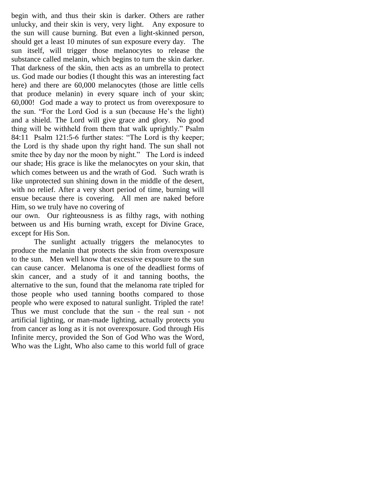begin with, and thus their skin is darker. Others are rather unlucky, and their skin is very, very light. Any exposure to the sun will cause burning. But even a light-skinned person, should get a least 10 minutes of sun exposure every day. The sun itself, will trigger those melanocytes to release the substance called melanin, which begins to turn the skin darker. That darkness of the skin, then acts as an umbrella to protect us. God made our bodies (I thought this was an interesting fact here) and there are 60,000 melanocytes (those are little cells that produce melanin) in every square inch of your skin; 60,000! God made a way to protect us from overexposure to the sun. "For the Lord God is a sun (because He"s the light) and a shield. The Lord will give grace and glory. No good thing will be withheld from them that walk uprightly." Psalm 84:11 Psalm 121:5-6 further states: "The Lord is thy keeper; the Lord is thy shade upon thy right hand. The sun shall not smite thee by day nor the moon by night." The Lord is indeed our shade; His grace is like the melanocytes on your skin, that which comes between us and the wrath of God. Such wrath is like unprotected sun shining down in the middle of the desert, with no relief. After a very short period of time, burning will ensue because there is covering. All men are naked before Him, so we truly have no covering of

our own. Our righteousness is as filthy rags, with nothing between us and His burning wrath, except for Divine Grace, except for His Son.

The sunlight actually triggers the melanocytes to produce the melanin that protects the skin from overexposure to the sun. Men well know that excessive exposure to the sun can cause cancer. Melanoma is one of the deadliest forms of skin cancer, and a study of it and tanning booths, the alternative to the sun, found that the melanoma rate tripled for those people who used tanning booths compared to those people who were exposed to natural sunlight. Tripled the rate! Thus we must conclude that the sun - the real sun - not artificial lighting, or man-made lighting, actually protects you from cancer as long as it is not overexposure. God through His Infinite mercy, provided the Son of God Who was the Word, Who was the Light, Who also came to this world full of grace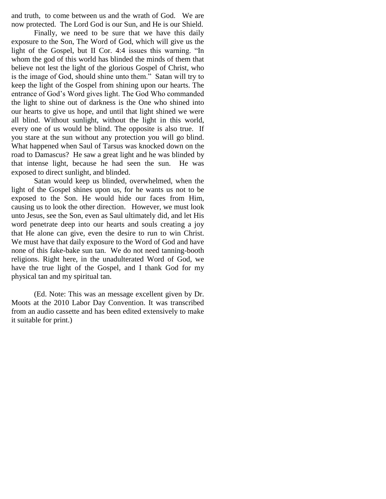and truth, to come between us and the wrath of God. We are now protected. The Lord God is our Sun, and He is our Shield.

Finally, we need to be sure that we have this daily exposure to the Son, The Word of God, which will give us the light of the Gospel, but II Cor. 4:4 issues this warning. "In whom the god of this world has blinded the minds of them that believe not lest the light of the glorious Gospel of Christ, who is the image of God, should shine unto them." Satan will try to keep the light of the Gospel from shining upon our hearts. The entrance of God"s Word gives light. The God Who commanded the light to shine out of darkness is the One who shined into our hearts to give us hope, and until that light shined we were all blind. Without sunlight, without the light in this world, every one of us would be blind. The opposite is also true. If you stare at the sun without any protection you will go blind. What happened when Saul of Tarsus was knocked down on the road to Damascus? He saw a great light and he was blinded by that intense light, because he had seen the sun. He was exposed to direct sunlight, and blinded.

Satan would keep us blinded, overwhelmed, when the light of the Gospel shines upon us, for he wants us not to be exposed to the Son. He would hide our faces from Him, causing us to look the other direction. However, we must look unto Jesus, see the Son, even as Saul ultimately did, and let His word penetrate deep into our hearts and souls creating a joy that He alone can give, even the desire to run to win Christ. We must have that daily exposure to the Word of God and have none of this fake-bake sun tan. We do not need tanning-booth religions. Right here, in the unadulterated Word of God, we have the true light of the Gospel, and I thank God for my physical tan and my spiritual tan.

(Ed. Note: This was an message excellent given by Dr. Moots at the 2010 Labor Day Convention. It was transcribed from an audio cassette and has been edited extensively to make it suitable for print.)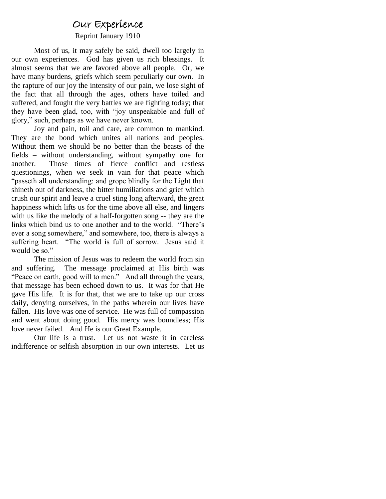# Our Experience

#### Reprint January 1910

Most of us, it may safely be said, dwell too largely in our own experiences. God has given us rich blessings. It almost seems that we are favored above all people. Or, we have many burdens, griefs which seem peculiarly our own. In the rapture of our joy the intensity of our pain, we lose sight of the fact that all through the ages, others have toiled and suffered, and fought the very battles we are fighting today; that they have been glad, too, with "joy unspeakable and full of glory," such, perhaps as we have never known.

Joy and pain, toil and care, are common to mankind. They are the bond which unites all nations and peoples. Without them we should be no better than the beasts of the fields – without understanding, without sympathy one for another. Those times of fierce conflict and restless questionings, when we seek in vain for that peace which "passeth all understanding: and grope blindly for the Light that shineth out of darkness, the bitter humiliations and grief which crush our spirit and leave a cruel sting long afterward, the great happiness which lifts us for the time above all else, and lingers with us like the melody of a half-forgotten song -- they are the links which bind us to one another and to the world. "There's ever a song somewhere," and somewhere, too, there is always a suffering heart. "The world is full of sorrow. Jesus said it would be so."

The mission of Jesus was to redeem the world from sin and suffering. The message proclaimed at His birth was "Peace on earth, good will to men." And all through the years, that message has been echoed down to us. It was for that He gave His life. It is for that, that we are to take up our cross daily, denying ourselves, in the paths wherein our lives have fallen. His love was one of service. He was full of compassion and went about doing good. His mercy was boundless; His love never failed. And He is our Great Example.

Our life is a trust. Let us not waste it in careless indifference or selfish absorption in our own interests. Let us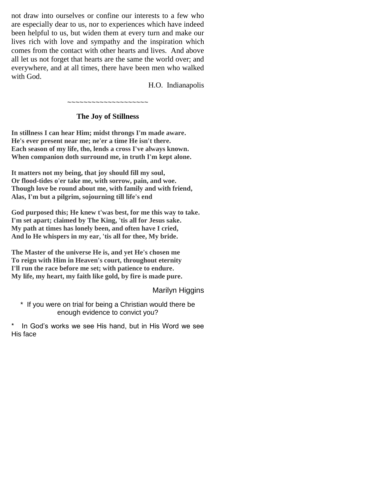not draw into ourselves or confine our interests to a few who are especially dear to us, nor to experiences which have indeed been helpful to us, but widen them at every turn and make our lives rich with love and sympathy and the inspiration which comes from the contact with other hearts and lives. And above all let us not forget that hearts are the same the world over; and everywhere, and at all times, there have been men who walked with God.

H.O. Indianapolis

# **The Joy of Stillness**

~~~~~~~~~~~~~~~~~~~~

**In stillness I can hear Him; midst throngs I'm made aware. He's ever present near me; ne'er a time He isn't there. Each season of my life, tho, lends a cross I've always known. When companion doth surround me, in truth I'm kept alone.**

**It matters not my being, that joy should fill my soul, Or flood-tides o'er take me, with sorrow, pain, and woe. Though love be round about me, with family and with friend, Alas, I'm but a pilgrim, sojourning till life's end** 

**God purposed this; He knew t'was best, for me this way to take. I'm set apart; claimed by The King, 'tis all for Jesus sake. My path at times has lonely been, and often have I cried, And lo He whispers in my ear, 'tis all for thee, My bride.**

**The Master of the universe He is, and yet He's chosen me To reign with Him in Heaven's court, throughout eternity I'll run the race before me set; with patience to endure. My life, my heart, my faith like gold, by fire is made pure.**

## Marilyn Higgins

\* If you were on trial for being a Christian would there be enough evidence to convict you?

\* In God's works we see His hand, but in His Word we see His face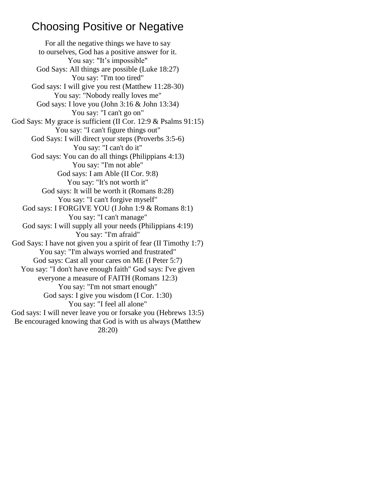# Choosing Positive or Negative

For all the negative things we have to say to ourselves, God has a positive answer for it. You say: "It's impossible" God Says: All things are possible (Luke 18:27) You say: "I'm too tired" God says: I will give you rest (Matthew 11:28-30) You say: "Nobody really loves me" God says: I love you (John 3:16 & John 13:34) You say: "I can't go on" God Says: My grace is sufficient (II Cor. 12:9 & Psalms 91:15) You say: "I can't figure things out" God Says: I will direct your steps (Proverbs 3:5-6) You say: "I can't do it" God says: You can do all things (Philippians 4:13) You say: "I'm not able" God says: I am Able (II Cor. 9:8) You say: "It's not worth it" God says: It will be worth it (Romans 8:28) You say: "I can't forgive myself" God says: I FORGIVE YOU (I John 1:9 & Romans 8:1) You say: "I can't manage" God says: I will supply all your needs (Philippians 4:19) You say: "I'm afraid" God Says: I have not given you a spirit of fear (II Timothy 1:7) You say: "I'm always worried and frustrated" God says: Cast all your cares on ME (I Peter 5:7) You say: "I don't have enough faith" God says: I've given everyone a measure of FAITH (Romans 12:3) You say: "I'm not smart enough" God says: I give you wisdom (I Cor. 1:30) You say: "I feel all alone" God says: I will never leave you or forsake you (Hebrews 13:5) Be encouraged knowing that God is with us always (Matthew 28:20)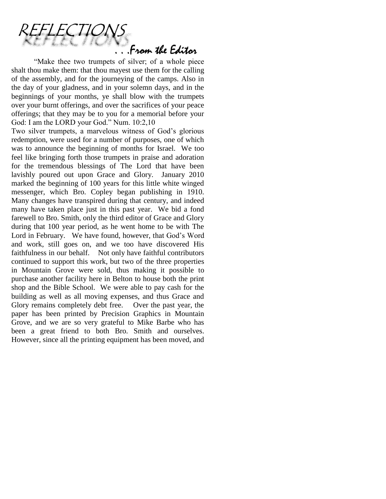

"Make thee two trumpets of silver; of a whole piece shalt thou make them: that thou mayest use them for the calling of the assembly, and for the journeying of the camps. Also in the day of your gladness, and in your solemn days, and in the beginnings of your months, ye shall blow with the trumpets over your burnt offerings, and over the sacrifices of your peace offerings; that they may be to you for a memorial before your God: I am the LORD your God." Num. 10:2,10

Two silver trumpets, a marvelous witness of God's glorious redemption, were used for a number of purposes, one of which was to announce the beginning of months for Israel. We too feel like bringing forth those trumpets in praise and adoration for the tremendous blessings of The Lord that have been lavishly poured out upon Grace and Glory. January 2010 marked the beginning of 100 years for this little white winged messenger, which Bro. Copley began publishing in 1910. Many changes have transpired during that century, and indeed many have taken place just in this past year. We bid a fond farewell to Bro. Smith, only the third editor of Grace and Glory during that 100 year period, as he went home to be with The Lord in February. We have found, however, that God's Word and work, still goes on, and we too have discovered His faithfulness in our behalf. Not only have faithful contributors continued to support this work, but two of the three properties in Mountain Grove were sold, thus making it possible to purchase another facility here in Belton to house both the print shop and the Bible School. We were able to pay cash for the building as well as all moving expenses, and thus Grace and Glory remains completely debt free. Over the past year, the paper has been printed by Precision Graphics in Mountain Grove, and we are so very grateful to Mike Barbe who has been a great friend to both Bro. Smith and ourselves. However, since all the printing equipment has been moved, and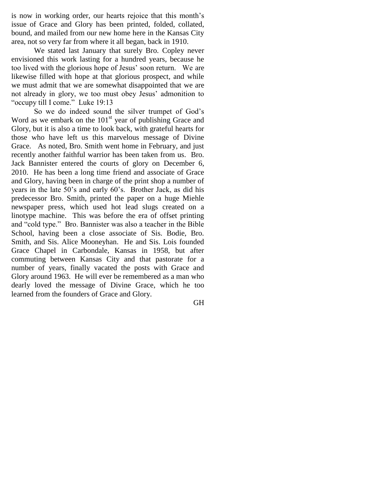is now in working order, our hearts rejoice that this month"s issue of Grace and Glory has been printed, folded, collated, bound, and mailed from our new home here in the Kansas City area, not so very far from where it all began, back in 1910.

We stated last January that surely Bro. Copley never envisioned this work lasting for a hundred years, because he too lived with the glorious hope of Jesus" soon return. We are likewise filled with hope at that glorious prospect, and while we must admit that we are somewhat disappointed that we are not already in glory, we too must obey Jesus' admonition to "occupy till I come." Luke 19:13

So we do indeed sound the silver trumpet of God"s Word as we embark on the  $101<sup>st</sup>$  year of publishing Grace and Glory, but it is also a time to look back, with grateful hearts for those who have left us this marvelous message of Divine Grace. As noted, Bro. Smith went home in February, and just recently another faithful warrior has been taken from us. Bro. Jack Bannister entered the courts of glory on December 6, 2010. He has been a long time friend and associate of Grace and Glory, having been in charge of the print shop a number of years in the late 50"s and early 60"s. Brother Jack, as did his predecessor Bro. Smith, printed the paper on a huge Miehle newspaper press, which used hot lead slugs created on a linotype machine. This was before the era of offset printing and "cold type." Bro. Bannister was also a teacher in the Bible School, having been a close associate of Sis. Bodie, Bro. Smith, and Sis. Alice Mooneyhan. He and Sis. Lois founded Grace Chapel in Carbondale, Kansas in 1958, but after commuting between Kansas City and that pastorate for a number of years, finally vacated the posts with Grace and Glory around 1963. He will ever be remembered as a man who dearly loved the message of Divine Grace, which he too learned from the founders of Grace and Glory.

GH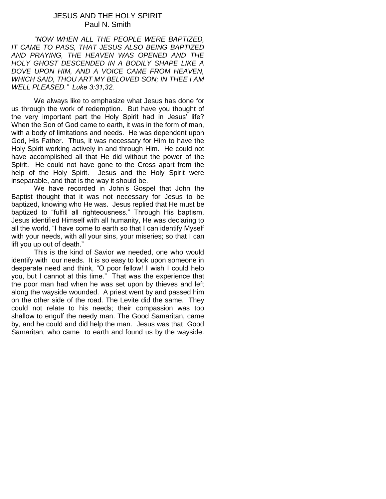#### JESUS AND THE HOLY SPIRIT Paul N. Smith

*"NOW WHEN ALL THE PEOPLE WERE BAPTIZED, IT CAME TO PASS, THAT JESUS ALSO BEING BAPTIZED AND PRAYING, THE HEAVEN WAS OPENED AND THE HOLY GHOST DESCENDED IN A BODILY SHAPE LIKE A DOVE UPON HIM, AND A VOICE CAME FROM HEAVEN, WHICH SAID, THOU ART MY BELOVED SON; IN THEE I AM WELL PLEASED." Luke 3:31,32.*

We always like to emphasize what Jesus has done for us through the work of redemption. But have you thought of the very important part the Holy Spirit had in Jesus' life? When the Son of God came to earth, it was in the form of man, with a body of limitations and needs. He was dependent upon God, His Father. Thus, it was necessary for Him to have the Holy Spirit working actively in and through Him. He could not have accomplished all that He did without the power of the Spirit. He could not have gone to the Cross apart from the help of the Holy Spirit. Jesus and the Holy Spirit were inseparable, and that is the way it should be.

We have recorded in John's Gospel that John the Baptist thought that it was not necessary for Jesus to be baptized, knowing who He was. Jesus replied that He must be baptized to "fulfill all righteousness." Through His baptism, Jesus identified Himself with all humanity, He was declaring to all the world, "I have come to earth so that I can identify Myself with your needs, with all your sins, your miseries; so that I can lift you up out of death."

This is the kind of Savior we needed, one who would identify with our needs. It is so easy to look upon someone in desperate need and think, "O poor fellow! I wish I could help you, but I cannot at this time." That was the experience that the poor man had when he was set upon by thieves and left along the wayside wounded. A priest went by and passed him on the other side of the road. The Levite did the same. They could not relate to his needs; their compassion was too shallow to engulf the needy man. The Good Samaritan, came by, and he could and did help the man. Jesus was that Good Samaritan, who came to earth and found us by the wayside.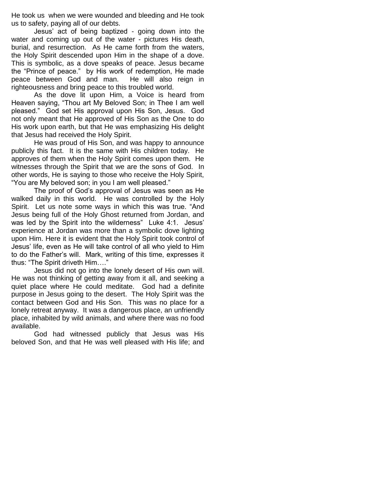He took us when we were wounded and bleeding and He took us to safety, paying all of our debts.

Jesus' act of being baptized - going down into the water and coming up out of the water - pictures His death, burial, and resurrection. As He came forth from the waters, the Holy Spirit descended upon Him in the shape of a dove. This is symbolic, as a dove speaks of peace. Jesus became the "Prince of peace." by His work of redemption, He made peace between God and man. He will also reign in righteousness and bring peace to this troubled world.

As the dove lit upon Him, a Voice is heard from Heaven saying, "Thou art My Beloved Son; in Thee I am well pleased." God set His approval upon His Son, Jesus. God not only meant that He approved of His Son as the One to do His work upon earth, but that He was emphasizing His delight that Jesus had received the Holy Spirit.

He was proud of His Son, and was happy to announce publicly this fact. It is the same with His children today. He approves of them when the Holy Spirit comes upon them. He witnesses through the Spirit that we are the sons of God. In other words, He is saying to those who receive the Holy Spirit, "You are My beloved son; in you I am well pleased."

The proof of God's approval of Jesus was seen as He walked daily in this world. He was controlled by the Holy Spirit. Let us note some ways in which this was true. "And Jesus being full of the Holy Ghost returned from Jordan, and was led by the Spirit into the wilderness" Luke 4:1. Jesus' experience at Jordan was more than a symbolic dove lighting upon Him. Here it is evident that the Holy Spirit took control of Jesus' life, even as He will take control of all who yield to Him to do the Father's will. Mark, writing of this time, expresses it thus: "The Spirit driveth Him…."

Jesus did not go into the lonely desert of His own will. He was not thinking of getting away from it all, and seeking a quiet place where He could meditate. God had a definite purpose in Jesus going to the desert. The Holy Spirit was the contact between God and His Son. This was no place for a lonely retreat anyway. It was a dangerous place, an unfriendly place, inhabited by wild animals, and where there was no food available.

God had witnessed publicly that Jesus was His beloved Son, and that He was well pleased with His life; and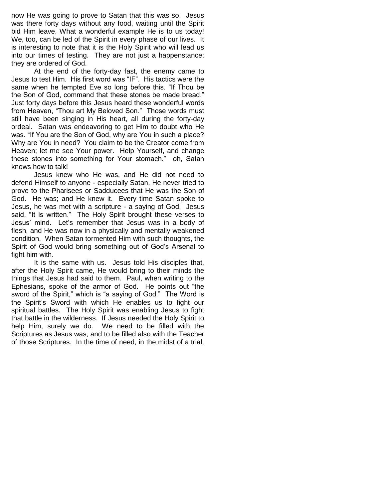now He was going to prove to Satan that this was so. Jesus was there forty days without any food, waiting until the Spirit bid Him leave. What a wonderful example He is to us today! We, too, can be led of the Spirit in every phase of our lives. It is interesting to note that it is the Holy Spirit who will lead us into our times of testing. They are not just a happenstance; they are ordered of God.

At the end of the forty-day fast, the enemy came to Jesus to test Him. His first word was "IF". His tactics were the same when he tempted Eve so long before this. "If Thou be the Son of God, command that these stones be made bread." Just forty days before this Jesus heard these wonderful words from Heaven, "Thou art My Beloved Son." Those words must still have been singing in His heart, all during the forty-day ordeal. Satan was endeavoring to get Him to doubt who He was. "If You are the Son of God, why are You in such a place? Why are You in need? You claim to be the Creator come from Heaven; let me see Your power. Help Yourself, and change these stones into something for Your stomach." oh, Satan knows how to talk!

Jesus knew who He was, and He did not need to defend Himself to anyone - especially Satan. He never tried to prove to the Pharisees or Sadducees that He was the Son of God. He was; and He knew it. Every time Satan spoke to Jesus, he was met with a scripture - a saying of God. Jesus said, "It is written." The Holy Spirit brought these verses to Jesus' mind. Let's remember that Jesus was in a body of flesh, and He was now in a physically and mentally weakened condition. When Satan tormented Him with such thoughts, the Spirit of God would bring something out of God's Arsenal to fight him with.

It is the same with us. Jesus told His disciples that, after the Holy Spirit came, He would bring to their minds the things that Jesus had said to them. Paul, when writing to the Ephesians, spoke of the armor of God. He points out "the sword of the Spirit," which is "a saying of God." The Word is the Spirit's Sword with which He enables us to fight our spiritual battles. The Holy Spirit was enabling Jesus to fight that battle in the wilderness. If Jesus needed the Holy Spirit to help Him, surely we do. We need to be filled with the Scriptures as Jesus was, and to be filled also with the Teacher of those Scriptures. In the time of need, in the midst of a trial,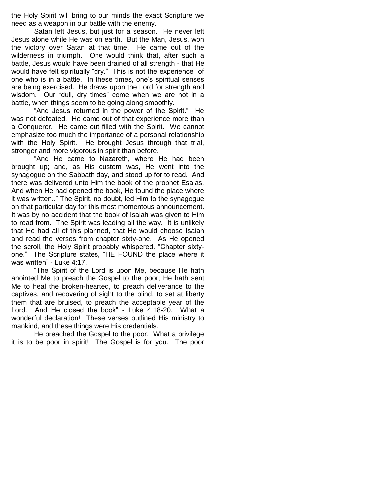the Holy Spirit will bring to our minds the exact Scripture we need as a weapon in our battle with the enemy.

Satan left Jesus, but just for a season. He never left Jesus alone while He was on earth. But the Man, Jesus, won the victory over Satan at that time. He came out of the wilderness in triumph. One would think that, after such a battle, Jesus would have been drained of all strength - that He would have felt spiritually "dry." This is not the experience of one who is in a battle. In these times, one's spiritual senses are being exercised. He draws upon the Lord for strength and wisdom. Our "dull, dry times" come when we are not in a battle, when things seem to be going along smoothly.

"And Jesus returned in the power of the Spirit." He was not defeated. He came out of that experience more than a Conqueror. He came out filled with the Spirit. We cannot emphasize too much the importance of a personal relationship with the Holy Spirit. He brought Jesus through that trial, stronger and more vigorous in spirit than before.

"And He came to Nazareth, where He had been brought up; and, as His custom was, He went into the synagogue on the Sabbath day, and stood up for to read. And there was delivered unto Him the book of the prophet Esaias. And when He had opened the book, He found the place where it was written.." The Spirit, no doubt, led Him to the synagogue on that particular day for this most momentous announcement. It was by no accident that the book of Isaiah was given to Him to read from. The Spirit was leading all the way. It is unlikely that He had all of this planned, that He would choose Isaiah and read the verses from chapter sixty-one. As He opened the scroll, the Holy Spirit probably whispered, "Chapter sixtyone." The Scripture states, "HE FOUND the place where it was written" - Luke 4:17.

"The Spirit of the Lord is upon Me, because He hath anointed Me to preach the Gospel to the poor; He hath sent Me to heal the broken-hearted, to preach deliverance to the captives, and recovering of sight to the blind, to set at liberty them that are bruised, to preach the acceptable year of the Lord. And He closed the book" - Luke 4:18-20. What a wonderful declaration! These verses outlined His ministry to mankind, and these things were His credentials.

He preached the Gospel to the poor. What a privilege it is to be poor in spirit! The Gospel is for you. The poor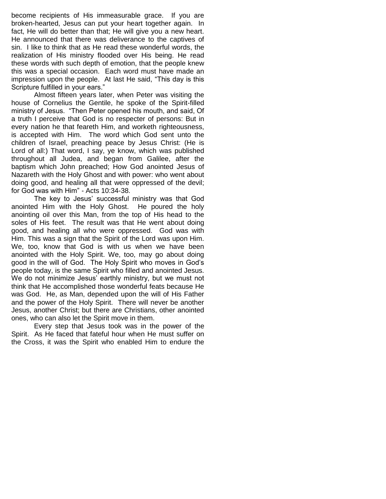become recipients of His immeasurable grace. If you are broken-hearted, Jesus can put your heart together again. In fact, He will do better than that; He will give you a new heart. He announced that there was deliverance to the captives of sin. I like to think that as He read these wonderful words, the realization of His ministry flooded over His being. He read these words with such depth of emotion, that the people knew this was a special occasion. Each word must have made an impression upon the people. At last He said, "This day is this Scripture fulfilled in your ears."

Almost fifteen years later, when Peter was visiting the house of Cornelius the Gentile, he spoke of the Spirit-filled ministry of Jesus. "Then Peter opened his mouth, and said, Of a truth I perceive that God is no respecter of persons: But in every nation he that feareth Him, and worketh righteousness, is accepted with Him. The word which God sent unto the children of Israel, preaching peace by Jesus Christ: (He is Lord of all:) That word, I say, ye know, which was published throughout all Judea, and began from Galilee, after the baptism which John preached; How God anointed Jesus of Nazareth with the Holy Ghost and with power: who went about doing good, and healing all that were oppressed of the devil; for God was with Him" - Acts 10:34-38.

The key to Jesus' successful ministry was that God anointed Him with the Holy Ghost. He poured the holy anointing oil over this Man, from the top of His head to the soles of His feet. The result was that He went about doing good, and healing all who were oppressed. God was with Him. This was a sign that the Spirit of the Lord was upon Him. We, too, know that God is with us when we have been anointed with the Holy Spirit. We, too, may go about doing good in the will of God. The Holy Spirit who moves in God's people today, is the same Spirit who filled and anointed Jesus. We do not minimize Jesus' earthly ministry, but we must not think that He accomplished those wonderful feats because He was God. He, as Man, depended upon the will of His Father and the power of the Holy Spirit. There will never be another Jesus, another Christ; but there are Christians, other anointed ones, who can also let the Spirit move in them.

Every step that Jesus took was in the power of the Spirit. As He faced that fateful hour when He must suffer on the Cross, it was the Spirit who enabled Him to endure the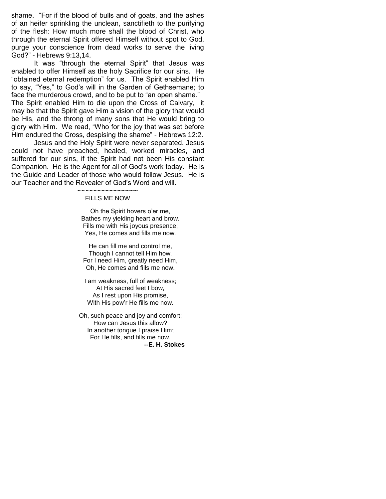shame. "For if the blood of bulls and of goats, and the ashes of an heifer sprinkling the unclean, sanctifieth to the purifying of the flesh: How much more shall the blood of Christ, who through the eternal Spirit offered Himself without spot to God, purge your conscience from dead works to serve the living God?" - Hebrews 9:13,14.

It was "through the eternal Spirit" that Jesus was enabled to offer Himself as the holy Sacrifice for our sins. He "obtained eternal redemption" for us. The Spirit enabled Him to say, "Yes," to God's will in the Garden of Gethsemane; to face the murderous crowd, and to be put to "an open shame." The Spirit enabled Him to die upon the Cross of Calvary, it may be that the Spirit gave Him a vision of the glory that would be His, and the throng of many sons that He would bring to glory with Him. We read, "Who for the joy that was set before

Him endured the Cross, despising the shame" - Hebrews 12:2. Jesus and the Holy Spirit were never separated. Jesus could not have preached, healed, worked miracles, and suffered for our sins, if the Spirit had not been His constant Companion. He is the Agent for all of God's work today. He is the Guide and Leader of those who would follow Jesus. He is our Teacher and the Revealer of God's Word and will.

#### ~~~~~~~~~~~~~~~ FILLS ME NOW

Oh the Spirit hovers o'er me, Bathes my yielding heart and brow. Fills me with His joyous presence; Yes, He comes and fills me now.

He can fill me and control me, Though I cannot tell Him how. For I need Him, greatly need Him, Oh, He comes and fills me now.

I am weakness, full of weakness; At His sacred feet I bow, As I rest upon His promise, With His pow'r He fills me now.

Oh, such peace and joy and comfort; How can Jesus this allow? In another tongue I praise Him; For He fills, and fills me now. **--E. H. Stokes**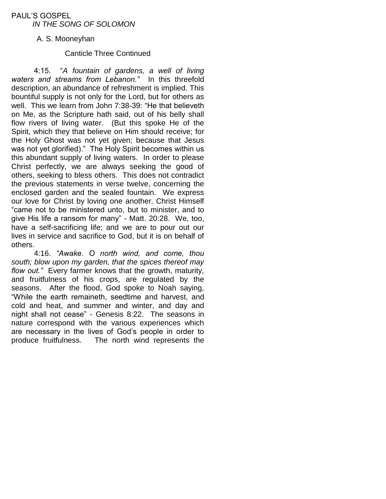#### PAUL'S GOSPEL  *IN THE SONG OF SOLOMON*

## A. S. Mooneyhan

## Canticle Three Continued

4:15. "*A fountain of gardens, a well of living waters and streams from Lebanon."* In this threefold description, an abundance of refreshment is implied. This bountiful supply is not only for the Lord, but for others as well. This we learn from John 7:38-39: "He that believeth on Me, as the Scripture hath said, out of his belly shall flow rivers of living water. (But this spoke He of the Spirit, which they that believe on Him should receive; for the Holy Ghost was not yet given; because that Jesus was not yet glorified)." The Holy Spirit becomes within us this abundant supply of living waters. In order to please Christ perfectly, we are always seeking the good of others, seeking to bless others. This does not contradict the previous statements in verse twelve, concerning the enclosed garden and the sealed fountain. We express our love for Christ by loving one another. Christ Himself "came not to be ministered unto, but to minister, and to give His life a ransom for many" - Matt. 20:28. We, too, have a self-sacrificing life; and we are to pour out our lives in service and sacrifice to God, but it is on behalf of others.

4:16. *"Awake. O north wind, and come, thou south; blow upon my garden, that the spices thereof may flow out."* Every farmer knows that the growth, maturity, and fruitfulness of his crops, are regulated by the seasons. After the flood, God spoke to Noah saying, "While the earth remaineth, seedtime and harvest, and cold and heat, and summer and winter, and day and night shall not cease" - Genesis 8:22. The seasons in nature correspond with the various experiences which are necessary in the lives of God's people in order to produce fruitfulness. The north wind represents the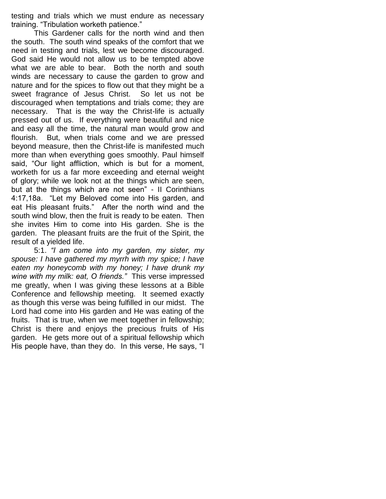testing and trials which we must endure as necessary training. "Tribulation worketh patience."

This Gardener calls for the north wind and then the south. The south wind speaks of the comfort that we need in testing and trials, lest we become discouraged. God said He would not allow us to be tempted above what we are able to bear. Both the north and south winds are necessary to cause the garden to grow and nature and for the spices to flow out that they might be a sweet fragrance of Jesus Christ. So let us not be discouraged when temptations and trials come; they are necessary. That is the way the Christ-life is actually pressed out of us. If everything were beautiful and nice and easy all the time, the natural man would grow and flourish. But, when trials come and we are pressed beyond measure, then the Christ-life is manifested much more than when everything goes smoothly. Paul himself said, "Our light affliction, which is but for a moment, worketh for us a far more exceeding and eternal weight of glory; while we look not at the things which are seen, but at the things which are not seen" - II Corinthians 4:17,18a. "Let my Beloved come into His garden, and eat His pleasant fruits." After the north wind and the south wind blow, then the fruit is ready to be eaten. Then she invites Him to come into His garden. She is the garden. The pleasant fruits are the fruit of the Spirit, the result of a yielded life.

5:1. *"I am come into my garden, my sister, my spouse: I have gathered my myrrh with my spice; I have eaten my honeycomb with my honey; I have drunk my wine with my milk: eat, O friends."* This verse impressed me greatly, when I was giving these lessons at a Bible Conference and fellowship meeting. It seemed exactly as though this verse was being fulfilled in our midst. The Lord had come into His garden and He was eating of the fruits. That is true, when we meet together in fellowship; Christ is there and enjoys the precious fruits of His garden. He gets more out of a spiritual fellowship which His people have, than they do. In this verse, He says, "I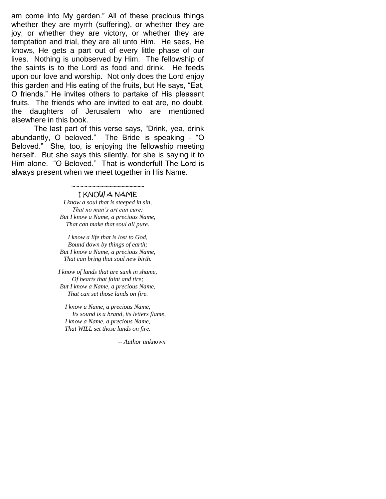am come into My garden." All of these precious things whether they are myrrh (suffering), or whether they are joy, or whether they are victory, or whether they are temptation and trial, they are all unto Him. He sees, He knows, He gets a part out of every little phase of our lives. Nothing is unobserved by Him. The fellowship of the saints is to the Lord as food and drink. He feeds upon our love and worship. Not only does the Lord enjoy this garden and His eating of the fruits, but He says, "Eat, O friends." He invites others to partake of His pleasant fruits. The friends who are invited to eat are, no doubt, the daughters of Jerusalem who are mentioned elsewhere in this book.

The last part of this verse says, "Drink, yea, drink abundantly, O beloved." The Bride is speaking - "O Beloved." She, too, is enjoying the fellowship meeting herself. But she says this silently, for she is saying it to Him alone. "O Beloved." That is wonderful! The Lord is always present when we meet together in His Name.

#### *~~~~~~~~~~~~~~~~~~* I KNOW A NAME

*I know a soul that is steeped in sin, That no man's art can cure; But I know a Name, a precious Name, That can make that soul all pure.*

*I know a life that is lost to God, Bound down by things of earth; But I know a Name, a precious Name, That can bring that soul new birth.*

*I know of lands that are sunk in shame, Of hearts that faint and tire; But I know a Name, a precious Name, That can set those lands on fire.*

*I know a Name, a precious Name, Its sound is a brand, its letters flame, I know a Name, a precious Name, That WILL set those lands on fire.*

*-- Author unknown*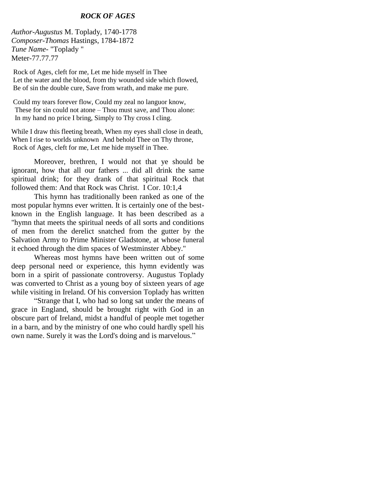#### *ROCK OF AGES*

*Author-Augustus* M. Toplady, 1740-1778 *Composer-Thomas* Hastings, 1784-1872 *Tune Name-* "Toplady " Meter-77.77.77

Rock of Ages, cleft for me, Let me hide myself in Thee Let the water and the blood, from thy wounded side which flowed, Be of sin the double cure, Save from wrath, and make me pure.

Could my tears forever flow, Could my zeal no languor know, These for sin could not atone – Thou must save, and Thou alone: In my hand no price I bring, Simply to Thy cross I cling.

While I draw this fleeting breath, When my eyes shall close in death, When I rise to worlds unknown And behold Thee on Thy throne, Rock of Ages, cleft for me, Let me hide myself in Thee.

Moreover, brethren, I would not that ye should be ignorant, how that all our fathers ... did all drink the same spiritual drink; for they drank of that spiritual Rock that followed them: And that Rock was Christ. I Cor. 10:1,4

This hymn has traditionally been ranked as one of the most popular hymns ever written. It is certainly one of the bestknown in the English language. It has been described as a "hymn that meets the spiritual needs of all sorts and conditions of men from the derelict snatched from the gutter by the Salvation Army to Prime Minister Gladstone, at whose funeral it echoed through the dim spaces of Westminster Abbey."

Whereas most hymns have been written out of some deep personal need or experience, this hymn evidently was born in a spirit of passionate controversy. Augustus Toplady was converted to Christ as a young boy of sixteen years of age while visiting in Ireland. Of his conversion Toplady has written

"Strange that I, who had so long sat under the means of grace in England, should be brought right with God in an obscure part of Ireland, midst a handful of people met together in a barn, and by the ministry of one who could hardly spell his own name. Surely it was the Lord's doing and is marvelous."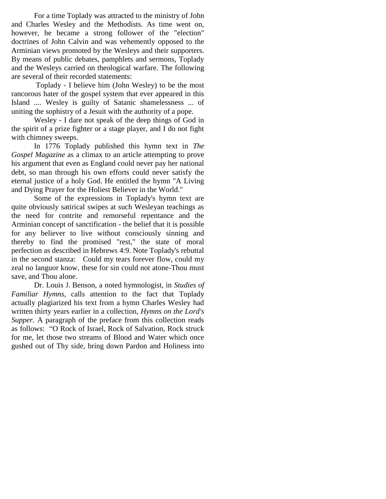For a time Toplady was attracted to the ministry of John and Charles Wesley and the Methodists. As time went on, however, he became a strong follower of the "election" doctrines of John Calvin and was vehemently opposed to the Arminian views promoted by the Wesleys and their supporters. By means of public debates, pamphlets and sermons, Toplady and the Wesleys carried on theological warfare. The following are several of their recorded statements:

Toplady - I believe him (John Wesley) to be the most rancorous hater of the gospel system that ever appeared in this Island .... Wesley is guilty of Satanic shamelessness ... of uniting the sophistry of a Jesuit with the authority of a pope.

Wesley - I dare not speak of the deep things of God in the spirit of a prize fighter or a stage player, and I do not fight with chimney sweeps.

In 1776 Toplady published this hymn text in *The Gospel Magazine* as a climax to an article attempting to prove his argument that even as England could never pay her national debt, so man through his own efforts could never satisfy the eternal justice of a holy God. He entitled the hymn "A Living and Dying Prayer for the Holiest Believer in the World."

Some of the expressions in Toplady's hymn text are quite obviously satirical swipes at such Wesleyan teachings as the need for contrite and remorseful repentance and the Arminian concept of sanctification - the belief that it is possible for any believer to live without consciously sinning and thereby to find the promised "rest," the state of moral perfection as described in Hebrews 4:9. Note Toplady's rebuttal in the second stanza: Could my tears forever flow, could my zeal no languor know, these for sin could not atone-Thou must save, and Thou alone.

Dr. Louis J. Benson, a noted hymnologist, in *Studies of Familiar Hymns,* calls attention to the fact that Toplady actually plagiarized his text from a hymn Charles Wesley had written thirty years earlier in a collection, *Hymns on the Lord's Supper.* A paragraph of the preface from this collection reads as follows: "O Rock of Israel, Rock of Salvation, Rock struck for me, let those two streams of Blood and Water which once gushed out of Thy side, bring down Pardon and Holiness into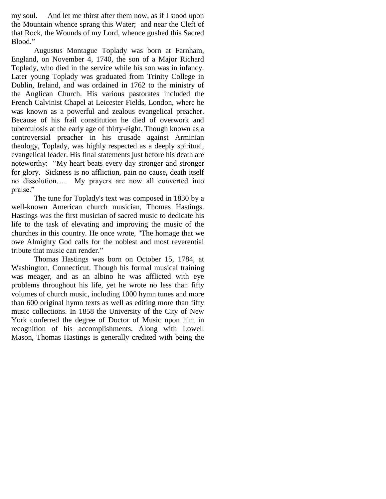my soul. And let me thirst after them now, as if I stood upon the Mountain whence sprang this Water; and near the Cleft of that Rock, the Wounds of my Lord, whence gushed this Sacred Blood."

Augustus Montague Toplady was born at Farnham, England, on November 4, 1740, the son of a Major Richard Toplady, who died in the service while his son was in infancy. Later young Toplady was graduated from Trinity College in Dublin, Ireland, and was ordained in 1762 to the ministry of the Anglican Church. His various pastorates included the French Calvinist Chapel at Leicester Fields, London, where he was known as a powerful and zealous evangelical preacher. Because of his frail constitution he died of overwork and tuberculosis at the early age of thirty-eight. Though known as a controversial preacher in his crusade against Arminian theology, Toplady, was highly respected as a deeply spiritual, evangelical leader. His final statements just before his death are noteworthy: "My heart beats every day stronger and stronger for glory. Sickness is no affliction, pain no cause, death itself no dissolution…. My prayers are now all converted into praise."

The tune for Toplady's text was composed in 1830 by a well-known American church musician, Thomas Hastings. Hastings was the first musician of sacred music to dedicate his life to the task of elevating and improving the music of the churches in this country. He once wrote, "The homage that we owe Almighty God calls for the noblest and most reverential tribute that music can render."

Thomas Hastings was born on October 15, 1784, at Washington, Connecticut. Though his formal musical training was meager, and as an albino he was afflicted with eye problems throughout his life, yet he wrote no less than fifty volumes of church music, including 1000 hymn tunes and more than 600 original hymn texts as well as editing more than fifty music collections. In 1858 the University of the City of New York conferred the degree of Doctor of Music upon him in recognition of his accomplishments. Along with Lowell Mason, Thomas Hastings is generally credited with being the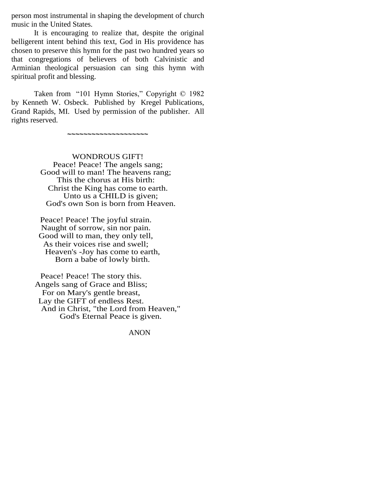person most instrumental in shaping the development of church music in the United States.

It is encouraging to realize that, despite the original belligerent intent behind this text, God in His providence has chosen to preserve this hymn for the past two hundred years so that congregations of believers of both Calvinistic and Arminian theological persuasion can sing this hymn with spiritual profit and blessing.

Taken from "101 Hymn Stories," Copyright © 1982 by Kenneth W. Osbeck. Published by Kregel Publications, Grand Rapids, MI. Used by permission of the publisher. All rights reserved.

**~~~~~~~~~~~~~~~~~~~~**

#### WONDROUS GIFT!

Peace! Peace! The angels sang; Good will to man! The heavens rang; This the chorus at His birth: Christ the King has come to earth. Unto us a CHILD is given; God's own Son is born from Heaven.

Peace! Peace! The joyful strain. Naught of sorrow, sin nor pain. Good will to man, they only tell, As their voices rise and swell; Heaven's -Joy has come to earth, Born a babe of lowly birth.

Peace! Peace! The story this. Angels sang of Grace and Bliss; For on Mary's gentle breast, Lay the GIFT of endless Rest. And in Christ, "the Lord from Heaven," God's Eternal Peace is given.

ANON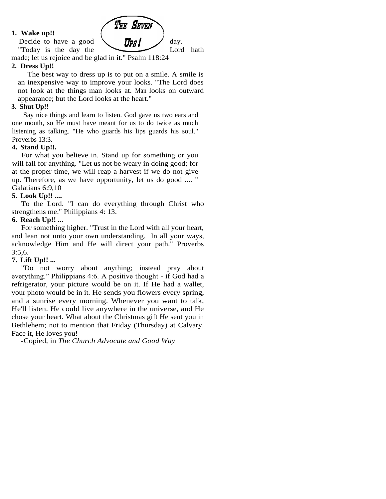#### **1. Wake up!!**

TEE SEVEL Decide to have a good  $\bigcup$  **Dpg!**  $\bigcup$  day.

"Today is the day the **Lord** hath

made; let us rejoice and be glad in it." Psalm 118:24

#### **2. Dress Up!!**

The best way to dress up is to put on a smile. A smile is an inexpensive way to improve your looks. "The Lord does not look at the things man looks at. Man looks on outward appearance; but the Lord looks at the heart."

#### **3. Shut Up!!**

Say nice things and learn to listen. God gave us two ears and one mouth, so He must have meant for us to do twice as much listening as talking. "He who guards his lips guards his soul." Proverbs 13:3.

#### **4. Stand Up!!.**

For what you believe in. Stand up for something or you will fall for anything. "Let us not be weary in doing good; for at the proper time, we will reap a harvest if we do not give up. Therefore, as we have opportunity, let us do good .... " Galatians 6:9,10

#### **5. Look Up!! ....**

To the Lord. "I can do everything through Christ who strengthens me." Philippians 4: 13.

#### **6. Reach Up!! ...**

For something higher. "Trust in the Lord with all your heart, and lean not unto your own understanding, In all your ways, acknowledge Him and He will direct your path." Proverbs 3:5,6.

#### **7. Lift Up!! ...**

"Do not worry about anything; instead pray about everything." Philippians 4:6. A positive thought - if God had a refrigerator, your picture would be on it. If He had a wallet, your photo would be in it. He sends you flowers every spring, and a sunrise every morning. Whenever you want to talk, He'll listen. He could live anywhere in the universe, and He chose your heart. What about the Christmas gift He sent you in Bethlehem; not to mention that Friday (Thursday) at Calvary. Face it, He loves you!

-Copied, in *The Church Advocate and Good Way*